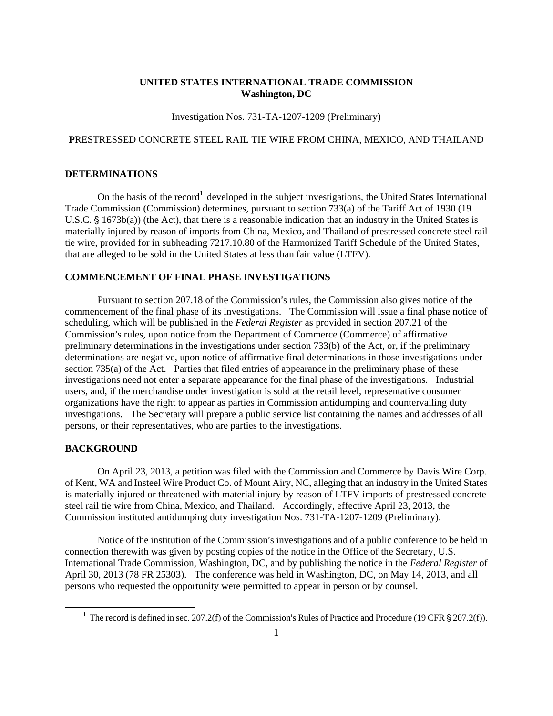### **UNITED STATES INTERNATIONAL TRADE COMMISSION Washington, DC**

Investigation Nos. 731-TA-1207-1209 (Preliminary)

## **P**RESTRESSED CONCRETE STEEL RAIL TIE WIRE FROM CHINA, MEXICO, AND THAILAND

# **DETERMINATIONS**

On the basis of the record<sup>1</sup> developed in the subject investigations, the United States International Trade Commission (Commission) determines, pursuant to section 733(a) of the Tariff Act of 1930 (19 U.S.C.  $\S$  1673b(a)) (the Act), that there is a reasonable indication that an industry in the United States is materially injured by reason of imports from China, Mexico, and Thailand of prestressed concrete steel rail tie wire, provided for in subheading 7217.10.80 of the Harmonized Tariff Schedule of the United States, that are alleged to be sold in the United States at less than fair value (LTFV).

### **COMMENCEMENT OF FINAL PHASE INVESTIGATIONS**

Pursuant to section 207.18 of the Commission's rules, the Commission also gives notice of the commencement of the final phase of its investigations. The Commission will issue a final phase notice of scheduling, which will be published in the *Federal Register* as provided in section 207.21 of the Commission's rules, upon notice from the Department of Commerce (Commerce) of affirmative preliminary determinations in the investigations under section 733(b) of the Act, or, if the preliminary determinations are negative, upon notice of affirmative final determinations in those investigations under section 735(a) of the Act. Parties that filed entries of appearance in the preliminary phase of these investigations need not enter a separate appearance for the final phase of the investigations. Industrial users, and, if the merchandise under investigation is sold at the retail level, representative consumer organizations have the right to appear as parties in Commission antidumping and countervailing duty investigations. The Secretary will prepare a public service list containing the names and addresses of all persons, or their representatives, who are parties to the investigations.

#### **BACKGROUND**

 $\overline{a}$ 

On April 23, 2013, a petition was filed with the Commission and Commerce by Davis Wire Corp. of Kent, WA and Insteel Wire Product Co. of Mount Airy, NC, alleging that an industry in the United States is materially injured or threatened with material injury by reason of LTFV imports of prestressed concrete steel rail tie wire from China, Mexico, and Thailand. Accordingly, effective April 23, 2013, the Commission instituted antidumping duty investigation Nos. 731-TA-1207-1209 (Preliminary).

Notice of the institution of the Commission's investigations and of a public conference to be held in connection therewith was given by posting copies of the notice in the Office of the Secretary, U.S. International Trade Commission, Washington, DC, and by publishing the notice in the *Federal Register* of April 30, 2013 (78 FR 25303). The conference was held in Washington, DC, on May 14, 2013, and all persons who requested the opportunity were permitted to appear in person or by counsel.

<sup>&</sup>lt;sup>1</sup> The record is defined in sec. 207.2(f) of the Commission's Rules of Practice and Procedure (19 CFR § 207.2(f)).